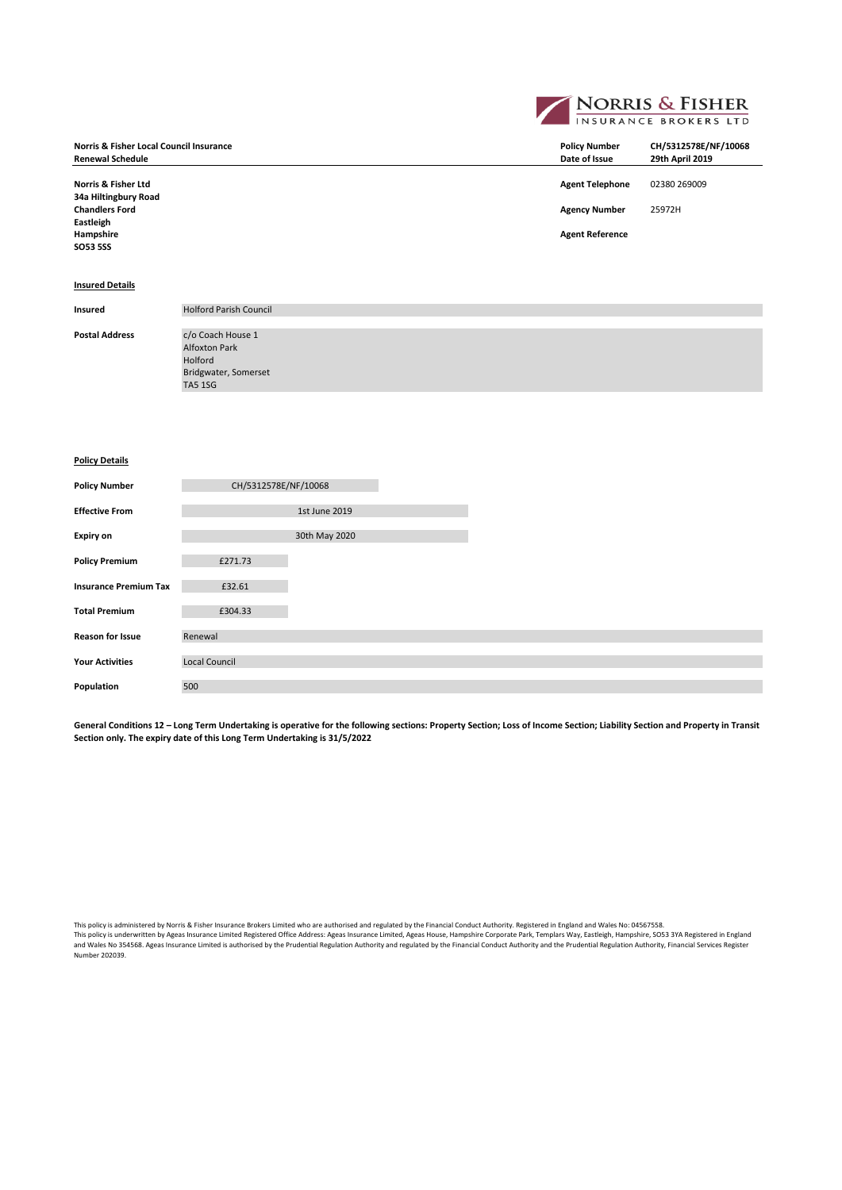**NORRIS & FISHER Norris & Fisher Local Council Insurance Policy Number CH/5312578E/NF/10068**  $Renewal Schedule$ **Norris & Fisher Ltd Agent Telephone** 02380 269009 **34a Hiltingbury Road Chandlers Ford Agency Number** 25972H **Eastleigh Agent Reference SO53 5SS**

# **Insured Details**

| Insured               | <b>Holford Parish Council</b> |
|-----------------------|-------------------------------|
|                       |                               |
| <b>Postal Address</b> | c/o Coach House 1             |
|                       | <b>Alfoxton Park</b>          |
|                       | Holford                       |
|                       | Bridgwater, Somerset          |
|                       | <b>TA5 1SG</b>                |
|                       |                               |

# **Policy Details**

| <b>Policy Number</b>         | CH/5312578E/NF/10068 |               |  |  |
|------------------------------|----------------------|---------------|--|--|
| <b>Effective From</b>        |                      | 1st June 2019 |  |  |
| <b>Expiry on</b>             |                      | 30th May 2020 |  |  |
| <b>Policy Premium</b>        | £271.73              |               |  |  |
| <b>Insurance Premium Tax</b> | £32.61               |               |  |  |
| <b>Total Premium</b>         | £304.33              |               |  |  |
| <b>Reason for Issue</b>      | Renewal              |               |  |  |
| <b>Your Activities</b>       | <b>Local Council</b> |               |  |  |
| Population                   | 500                  |               |  |  |

General Conditions 12 - Long Term Undertaking is operative for the following sections: Property Section; Loss of Income Section; Liability Section and Property in Transit **Section only. The expiry date of this Long Term Undertaking is 31/5/2022**

This policy is administered by Norris & Fisher Insurance Brokers Limited who are authorised and regulated by the Financial Conduct Authority. Registered in England and Wales No: 04567558. This policy is underwritten by Ageas Insurance Limited Registered Office Address: Ageas Insurance Limited, Ageas House, Hampshire Corporate Park, Templars Way, Eastleigh, Hampshire, SO53 3YA Registered in England<br>and Wales Number 202039.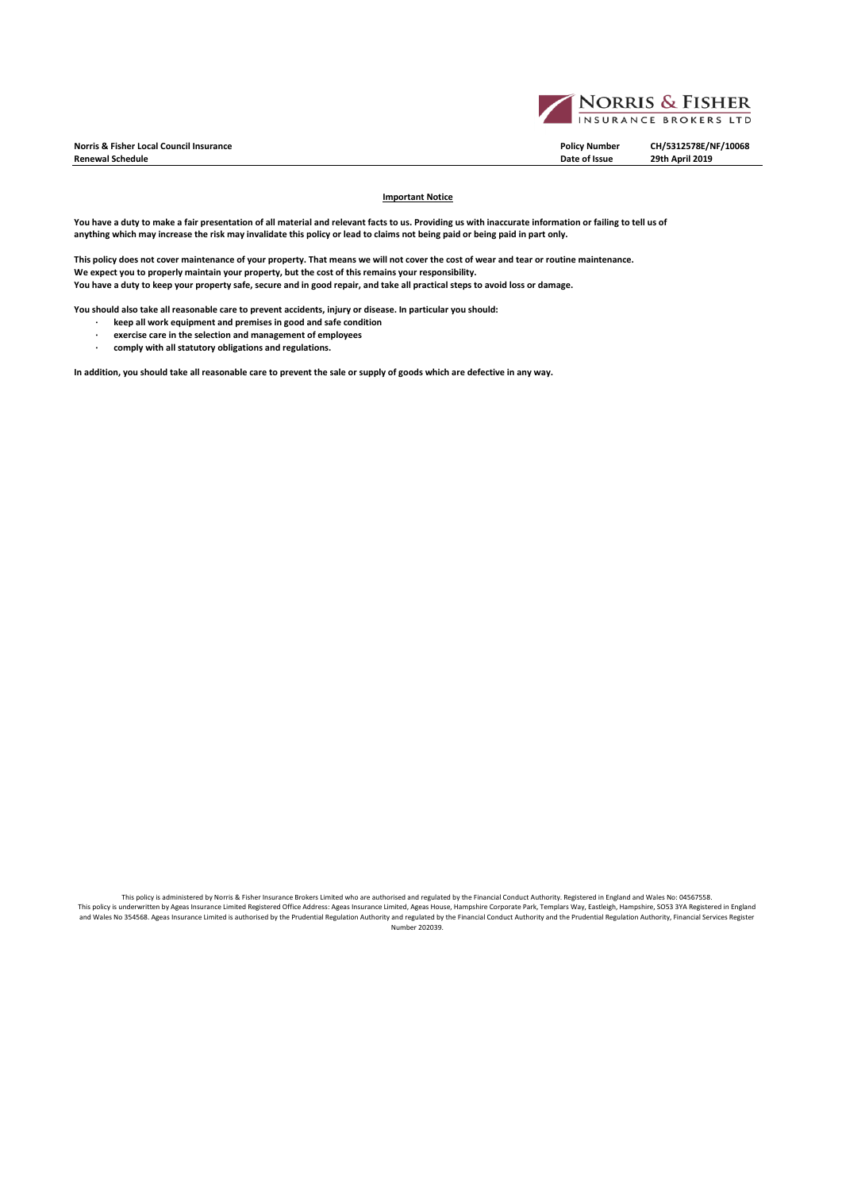**Norris & Fisher Local Council Insurance Policy Number CH/5312578E/NF/10068**  $Renewal Schedule$ 



#### **Important Notice**

You have a duty to make a fair presentation of all material and relevant facts to us. Providing us with inaccurate information or failing to tell us of **anything which may increase the risk may invalidate this policy or lead to claims not being paid or being paid in part only.**

**This policy does not cover maintenance of your property. That means we will not cover the cost of wear and tear or routine maintenance. We expect you to properly maintain your property, but the cost of this remains your responsibility. You have a duty to keep your property safe, secure and in good repair, and take all practical steps to avoid loss or damage.** 

**You should also take all reasonable care to prevent accidents, injury or disease. In particular you should:**

- **· keep all work equipment and premises in good and safe condition**
- **· exercise care in the selection and management of employees**
- **· comply with all statutory obligations and regulations.**

**In addition, you should take all reasonable care to prevent the sale or supply of goods which are defective in any way.** 

This policy is administered by Norris & Fisher Insurance Brokers Limited who are authorised and regulated by the Financial Conduct Authority. Registered in England and Wales No: 04567558. This policy is underwritten by Ageas Insurance Limited Registered Office Address: Ageas Insurance Limited, Ageas House, Hampshire Corporate Park, Templars Way, Eastleigh, Hampshire, SO53 3YA Registered in England<br>and Wales Number 202039.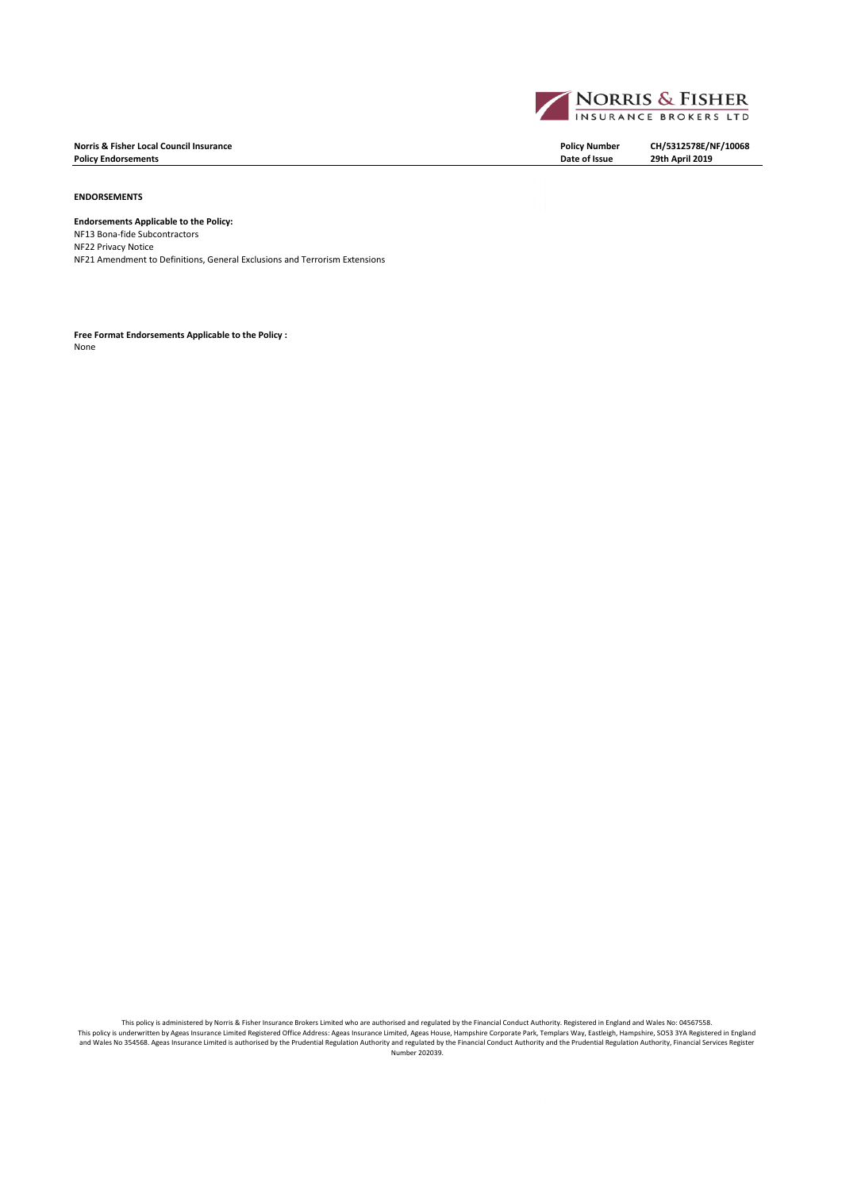**Norris & Fisher Local Council Insurance Policy Number CH/5312578E/NF/10068 Policy Endorsements** 

**ENDORSEMENTS**

# **Endorsements Applicable to the Policy:**

NF13 Bona-fide Subcontractors NF22 Privacy Notice NF21 Amendment to Definitions, General Exclusions and Terrorism Extensions

**Free Format Endorsements Applicable to the Policy :** None



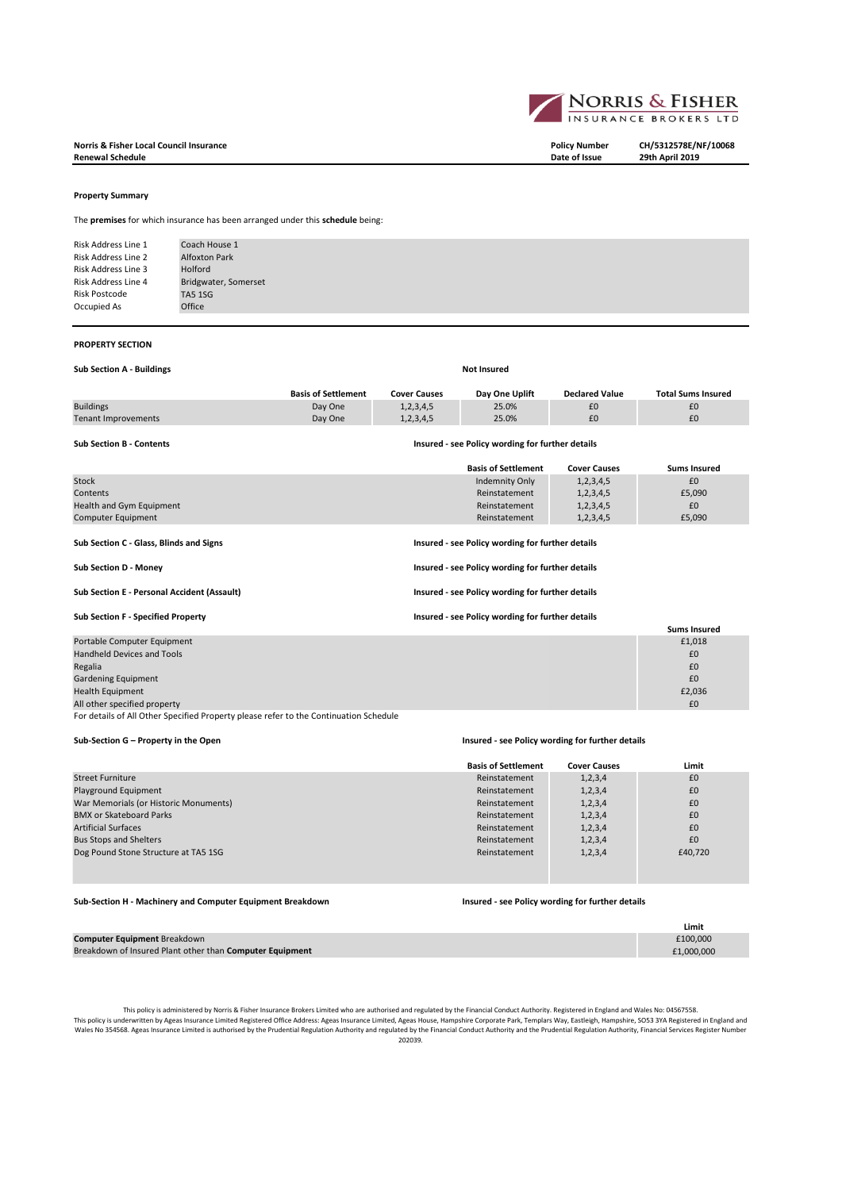

**Norris & Fisher Local Council Insurance Policy Number CH/5312578E/NF/10068 Renewal Schedule Date of Issue 29th April 2019**

#### **Property Summary**

The **premises** for which insurance has been arranged under this **schedule** being:

Risk Address Line 1 Risk Address Line 2 Risk Address Line 3 Risk Address Line 4 Risk Postcode Occupied As Office TA5 1SG Bridgwater, Somerset Coach House 1 Alfoxton Park Holford

#### **PROPERTY SECTION**

|  |  |  | <b>Sub Section A - Buildings</b> |
|--|--|--|----------------------------------|
|--|--|--|----------------------------------|

| <b>Sub Section A - Buildings</b> | <b>Not Insured</b>         |                     |                                                  |                       |                           |
|----------------------------------|----------------------------|---------------------|--------------------------------------------------|-----------------------|---------------------------|
|                                  | <b>Basis of Settlement</b> | <b>Cover Causes</b> | Day One Uplift                                   | <b>Declared Value</b> | <b>Total Sums Insured</b> |
| <b>Buildings</b>                 | Day One                    | 1,2,3,4,5           | 25.0%                                            | £0                    | £0                        |
| <b>Tenant Improvements</b>       | Day One                    | 1,2,3,4,5           | 25.0%                                            | £0                    | £0                        |
| <b>Sub Section B - Contents</b>  |                            |                     | Insured - see Policy wording for further details |                       |                           |
|                                  |                            |                     | <b>Basis of Settlement</b>                       | <b>Cover Causes</b>   | <b>Sums Insured</b>       |
| Stock                            |                            |                     | Indemnity Only                                   | 1, 2, 3, 4, 5         | £0                        |

| Health and Gym Equipment                    | Reinstatement                                    | 1, 2, 3, 4, 5 | £0                  |  |
|---------------------------------------------|--------------------------------------------------|---------------|---------------------|--|
| Computer Equipment                          | Reinstatement                                    | 1, 2, 3, 4, 5 | £5,090              |  |
| Sub Section C - Glass, Blinds and Signs     | Insured - see Policy wording for further details |               |                     |  |
| Sub Section D - Money                       | Insured - see Policy wording for further details |               |                     |  |
| Sub Section E - Personal Accident (Assault) | Insured - see Policy wording for further details |               |                     |  |
| <b>Sub Section F - Specified Property</b>   | Insured - see Policy wording for further details |               |                     |  |
|                                             |                                                  |               | <b>Sums Insured</b> |  |
| Portable Computer Equipment                 |                                                  |               | £1.018              |  |

Contents Reinstatement 1,2,3,4,5 £5,090

| Portable Computer Equipment       | £1,018 |
|-----------------------------------|--------|
| <b>Handheld Devices and Tools</b> | £0     |
| Regalia                           | £0     |
| <b>Gardening Equipment</b>        | £0     |
| <b>Health Equipment</b>           | £2,036 |
| All other specified property      | £0     |

For details of All Other Specified Property please refer to the Continuation Schedule

## **Sub-Section G – Property in the Open Insured - see Policy wording for further details**

|                                       | <b>Basis of Settlement</b> | <b>Cover Causes</b> | Limit   |
|---------------------------------------|----------------------------|---------------------|---------|
| <b>Street Furniture</b>               | Reinstatement              | 1, 2, 3, 4          | £0      |
| Playground Equipment                  | Reinstatement              | 1, 2, 3, 4          | £0      |
| War Memorials (or Historic Monuments) | Reinstatement              | 1, 2, 3, 4          | £0      |
| <b>BMX or Skateboard Parks</b>        | Reinstatement              | 1, 2, 3, 4          | £0      |
| <b>Artificial Surfaces</b>            | Reinstatement              | 1, 2, 3, 4          | £0      |
| <b>Bus Stops and Shelters</b>         | Reinstatement              | 1, 2, 3, 4          | £0      |
| Dog Pound Stone Structure at TA5 1SG  | Reinstatement              | 1, 2, 3, 4          | £40,720 |
|                                       |                            |                     |         |

#### **Sub-Section H - Machinery and Computer Equipment Breakdown Insured - see Policy wording for further details**

|                                                          | Limit      |
|----------------------------------------------------------|------------|
| <b>Computer Equipment Breakdown</b>                      | £100.000   |
| Breakdown of Insured Plant other than Computer Equipment | £1.000.000 |

This policy is administered by Norris & Fisher Insurance Brokers Limited who are authorised and regulated by he Financial Conduct Authority. Registered in England and Wales No: 04567558.<br>This policy is underwritten by Agea Wales No 354568. Ageas Insurance Limited is authorised by the Prudential Regulation Authority and regulated by the Financial Conduct Authority and the Prudential Regulation Authority, Financial Services Register Number<br>202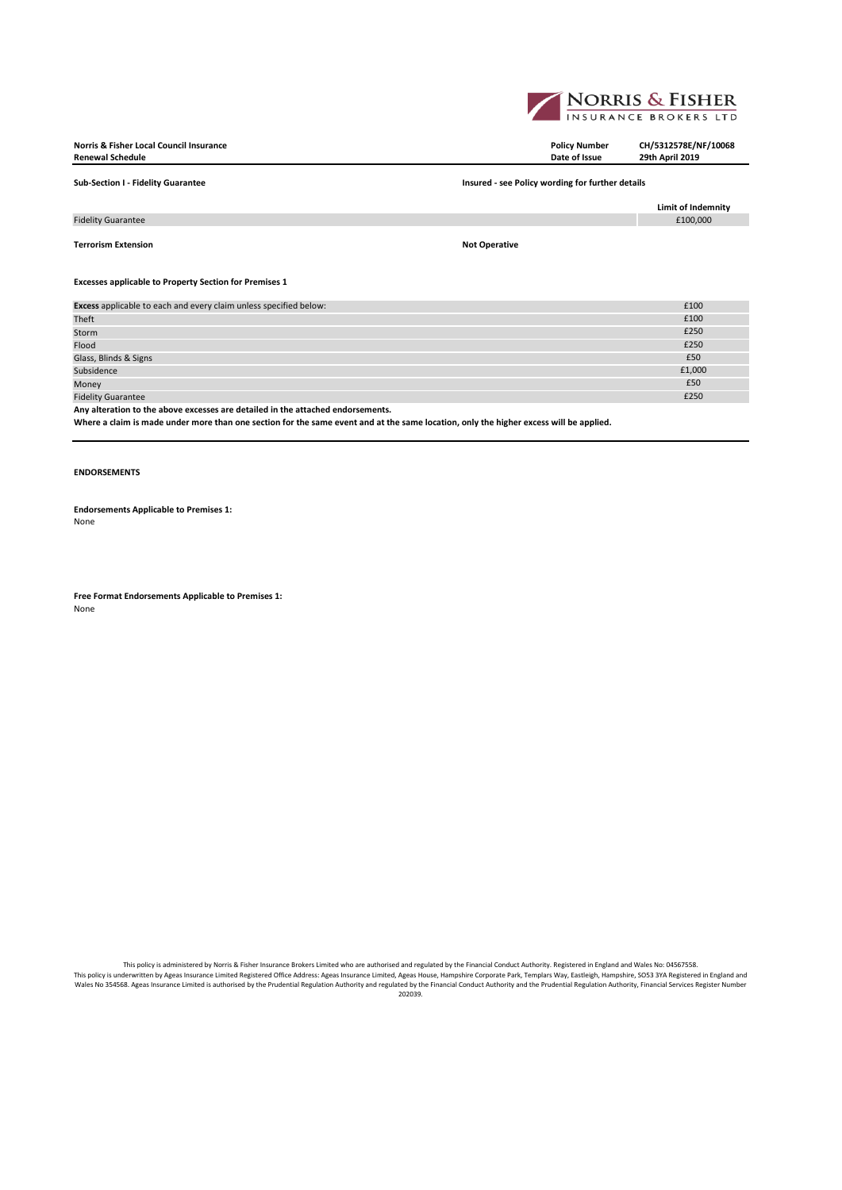

| Norris & Fisher Local Council Insurance<br><b>Renewal Schedule</b>                   | <b>Policy Number</b><br>Date of Issue            | CH/5312578E/NF/10068<br>29th April 2019 |
|--------------------------------------------------------------------------------------|--------------------------------------------------|-----------------------------------------|
| Sub-Section I - Fidelity Guarantee                                                   | Insured - see Policy wording for further details |                                         |
|                                                                                      |                                                  | Limit of Indemnity                      |
| <b>Fidelity Guarantee</b>                                                            |                                                  | £100,000                                |
| Terrorism Extension<br><b>Excesses applicable to Property Section for Premises 1</b> | <b>Not Operative</b>                             |                                         |
|                                                                                      |                                                  |                                         |
| Excess applicable to each and every claim unless specified below:                    |                                                  | £100                                    |
| Theft                                                                                |                                                  | £100                                    |
| Storm                                                                                |                                                  | £250                                    |
| Flood                                                                                |                                                  | £250                                    |
| Glass, Blinds & Signs                                                                |                                                  | £50                                     |

Subsidence  $\epsilon$  . The set of the set of the set of the set of the set of the set of the set of the set of the set of the set of the set of the set of the set of the set of the set of the set of the set of the set of the s Money  $\bf{f}$  , and  $\bf{f}$  , and  $\bf{f}$  , and  $\bf{f}$  , and  $\bf{f}$  , and  $\bf{f}$  , and  $\bf{f}$  , and  $\bf{f}$  , and  $\bf{f}$  , and  $\bf{f}$  , and  $\bf{f}$  , and  $\bf{f}$  , and  $\bf{f}$  , and  $\bf{f}$  , and  $\bf{f}$  , and  $\bf{f$ Fidelity Guarantee £250 **Any alteration to the above excesses are detailed in the attached endorsements.**

**Where a claim is made under more than one section for the same event and at the same location, only the higher excess will be applied.**

# **ENDORSEMENTS**

**Endorsements Applicable to Premises 1:** None

**Free Format Endorsements Applicable to Premises 1:** None

This policy is administered by Norris & Fisher Insurance Brokers Limited who are authorised and regulated by the Financial Conduct Authority. Registered in England and Wales No: 04567558.<br>This policy is underwritten by Age 202039.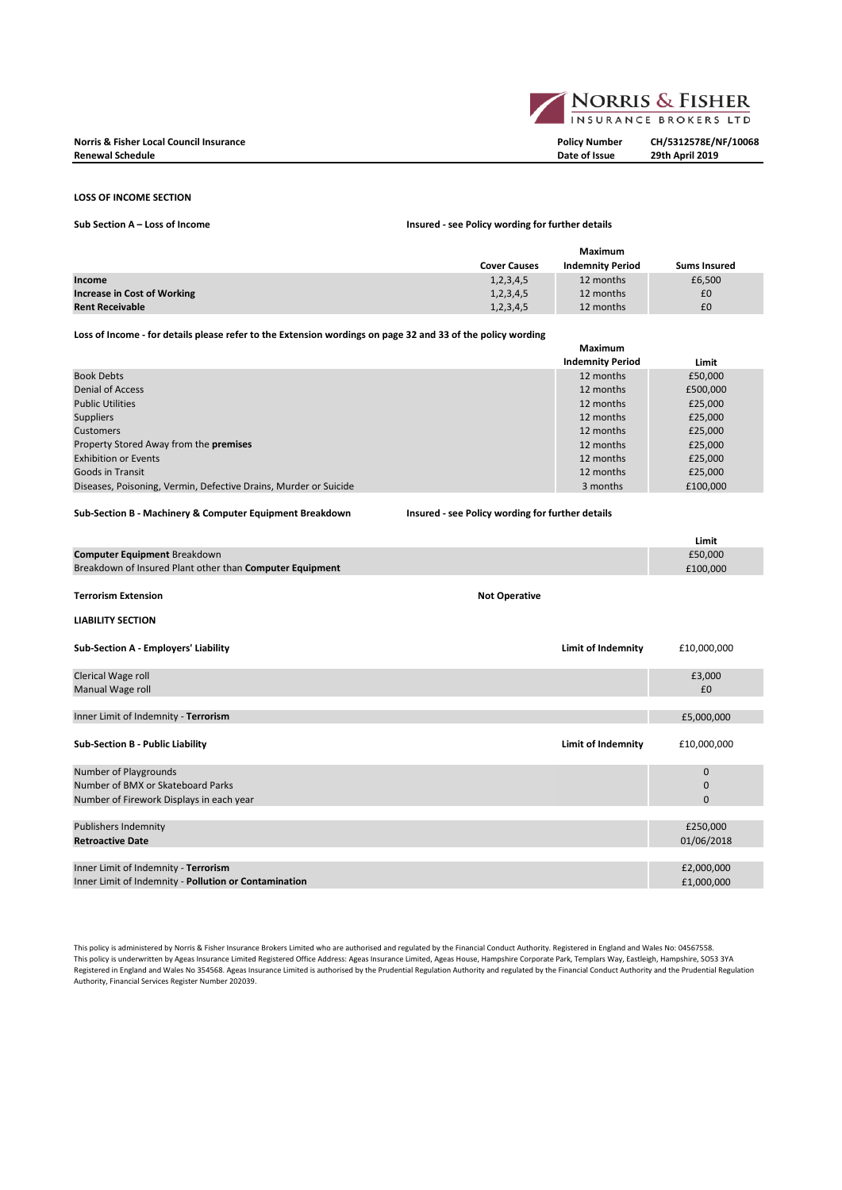### **LOSS OF INCOME SECTION**

**Sub Section A – Loss of Income Insured - see Policy wording for further details**

|                             | Maximum             |                         |                     |
|-----------------------------|---------------------|-------------------------|---------------------|
|                             | <b>Cover Causes</b> | <b>Indemnity Period</b> | <b>Sums Insured</b> |
| Income                      | 1,2,3,4,5           | 12 months               | £6,500              |
| Increase in Cost of Working | 1,2,3,4,5           | 12 months               | £0                  |
| <b>Rent Receivable</b>      | 1,2,3,4,5           | 12 months               | £0                  |

**Loss of Income - for details please refer to the Extension wordings on page 32 and 33 of the policy wording**

|                                                                  | Maximum                 |          |
|------------------------------------------------------------------|-------------------------|----------|
|                                                                  | <b>Indemnity Period</b> | Limit    |
| <b>Book Debts</b>                                                | 12 months               | £50,000  |
| <b>Denial of Access</b>                                          | 12 months               | £500,000 |
| <b>Public Utilities</b>                                          | 12 months               | £25,000  |
| <b>Suppliers</b>                                                 | 12 months               | £25,000  |
| <b>Customers</b>                                                 | 12 months               | £25,000  |
| Property Stored Away from the <b>premises</b>                    | 12 months               | £25,000  |
| <b>Exhibition or Events</b>                                      | 12 months               | £25,000  |
| Goods in Transit                                                 | 12 months               | £25,000  |
| Diseases, Poisoning, Vermin, Defective Drains, Murder or Suicide | 3 months                | £100.000 |

**Sub-Section B - Machinery & Computer Equipment Breakdown Insured - see Policy wording for further details**

|                                                          |                      |                           | Limit        |
|----------------------------------------------------------|----------------------|---------------------------|--------------|
| Computer Equipment Breakdown                             |                      |                           | £50,000      |
| Breakdown of Insured Plant other than Computer Equipment |                      |                           | £100,000     |
|                                                          |                      |                           |              |
| <b>Terrorism Extension</b>                               | <b>Not Operative</b> |                           |              |
| <b>LIABILITY SECTION</b>                                 |                      |                           |              |
| Sub-Section A - Employers' Liability                     |                      | <b>Limit of Indemnity</b> | £10,000,000  |
| Clerical Wage roll                                       |                      |                           | £3,000       |
| Manual Wage roll                                         |                      |                           | £0           |
|                                                          |                      |                           |              |
| Inner Limit of Indemnity - Terrorism                     |                      |                           | £5,000,000   |
| <b>Sub-Section B - Public Liability</b>                  |                      | <b>Limit of Indemnity</b> | £10,000,000  |
| Number of Playgrounds                                    |                      |                           | $\mathbf 0$  |
| Number of BMX or Skateboard Parks                        |                      |                           | $\mathbf{0}$ |
| Number of Firework Displays in each year                 |                      |                           | $\mathbf{0}$ |
|                                                          |                      |                           |              |
| <b>Publishers Indemnity</b>                              |                      |                           | £250,000     |
| <b>Retroactive Date</b>                                  |                      |                           | 01/06/2018   |
|                                                          |                      |                           |              |
| Inner Limit of Indemnity - Terrorism                     |                      |                           | £2,000,000   |
| Inner Limit of Indemnity - Pollution or Contamination    |                      |                           | £1,000,000   |

This policy is administered by Norris & Fisher Insurance Brokers Limited who are authorised and regulated by the Financial Conduct Authority. Registered in England and Wales No: 04567558. This policy is underwritten by Ageas Insurance Limited Registered Office Address: Ageas Insurance Limited, Ageas House, Hampshire Corporate Park, Templars Way, Eastleigh, Hampshire, SO53 3YA Registered in England and Wales No 354568. Ageas Insurance Limited is authorised by the Prudential Regulation Authority and regulated by the Financial Conduct Authority and the Prudential Regulation Authority, Financial Services Register Number 202039.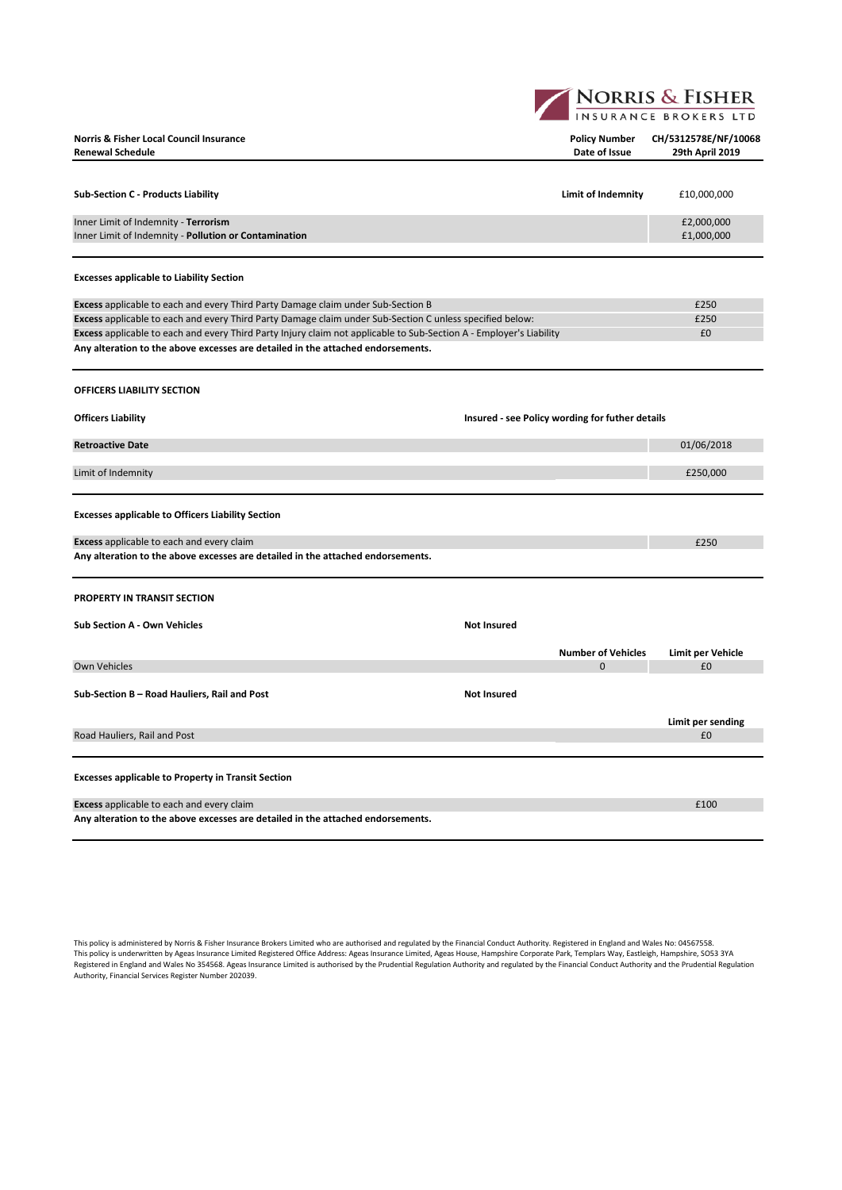**NORRIS & FISHER** 

| Norris & Fisher Local Council Insurance<br><b>Renewal Schedule</b>                                                  |                                                 | <b>Policy Number</b><br>Date of Issue | CH/5312578E/NF/10068<br>29th April 2019 |
|---------------------------------------------------------------------------------------------------------------------|-------------------------------------------------|---------------------------------------|-----------------------------------------|
| <b>Sub-Section C - Products Liability</b>                                                                           |                                                 | Limit of Indemnity                    | £10,000,000                             |
| Inner Limit of Indemnity - Terrorism<br>Inner Limit of Indemnity - Pollution or Contamination                       |                                                 |                                       | £2,000,000<br>£1,000,000                |
| <b>Excesses applicable to Liability Section</b>                                                                     |                                                 |                                       |                                         |
| Excess applicable to each and every Third Party Damage claim under Sub-Section B                                    |                                                 |                                       | £250                                    |
| Excess applicable to each and every Third Party Damage claim under Sub-Section C unless specified below:            |                                                 |                                       | £250                                    |
| Excess applicable to each and every Third Party Injury claim not applicable to Sub-Section A - Employer's Liability |                                                 |                                       | £0                                      |
| Any alteration to the above excesses are detailed in the attached endorsements.                                     |                                                 |                                       |                                         |
| OFFICERS LIABILITY SECTION                                                                                          |                                                 |                                       |                                         |
| <b>Officers Liability</b>                                                                                           | Insured - see Policy wording for futher details |                                       |                                         |
| <b>Retroactive Date</b>                                                                                             |                                                 |                                       | 01/06/2018                              |
| Limit of Indemnity                                                                                                  |                                                 |                                       | £250,000                                |
| <b>Excesses applicable to Officers Liability Section</b>                                                            |                                                 |                                       |                                         |
| <b>Excess</b> applicable to each and every claim                                                                    |                                                 |                                       | £250                                    |
| Any alteration to the above excesses are detailed in the attached endorsements.                                     |                                                 |                                       |                                         |
| <b>PROPERTY IN TRANSIT SECTION</b>                                                                                  |                                                 |                                       |                                         |
| Sub Section A - Own Vehicles                                                                                        | <b>Not Insured</b>                              |                                       |                                         |
|                                                                                                                     |                                                 | <b>Number of Vehicles</b>             | Limit per Vehicle                       |
| <b>Own Vehicles</b>                                                                                                 |                                                 | $\Omega$                              | £0                                      |
| Sub-Section B - Road Hauliers, Rail and Post                                                                        | <b>Not Insured</b>                              |                                       |                                         |
|                                                                                                                     |                                                 |                                       | Limit per sending                       |
| Road Hauliers, Rail and Post                                                                                        |                                                 |                                       | £0                                      |
| <b>Excesses applicable to Property in Transit Section</b>                                                           |                                                 |                                       |                                         |
| <b>Excess</b> applicable to each and every claim                                                                    |                                                 |                                       | £100                                    |
| Any alteration to the above excesses are detailed in the attached endorsements.                                     |                                                 |                                       |                                         |

This policy is administered by Norris & Fisher Insurance Brokers Limited who are authorised and regulated by the Financial Conduct Authority. Registered in England and Wales No: 04567558.<br>This policy is underwritten by Age Authority, Financial Services Register Number 202039.